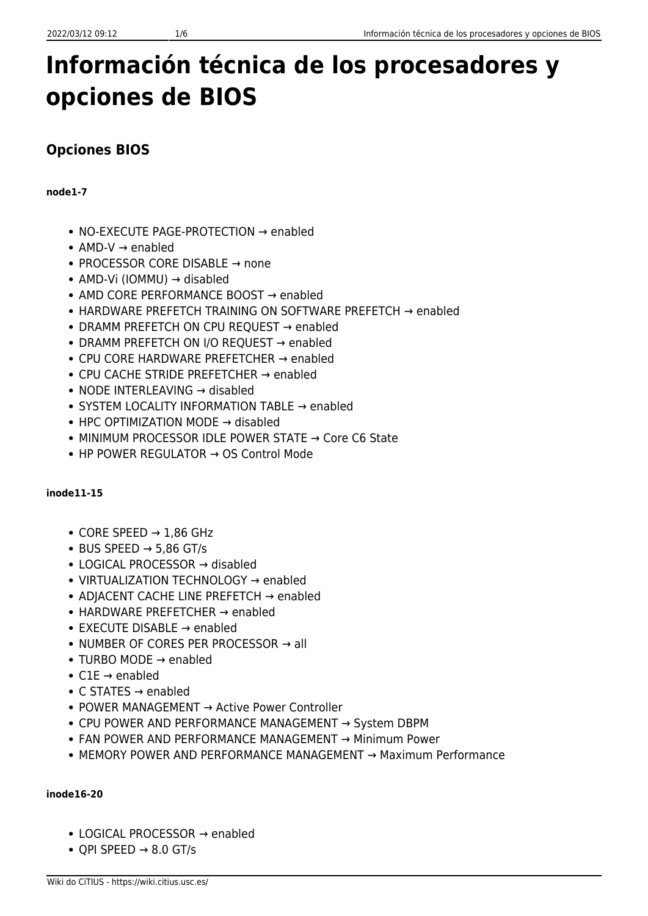# **Información técnica de los procesadores y opciones de BIOS**

# **Opciones BIOS**

## **node1-7**

- NO-EXECUTE PAGE-PROTECTION → enabled
- $\bullet$  AMD-V  $\rightarrow$  enabled
- PROCESSOR CORE DISABLE → none
- AMD-Vi (IOMMU) → disabled
- AMD CORE PERFORMANCE BOOST → enabled
- HARDWARE PREFETCH TRAINING ON SOFTWARE PREFETCH → enabled
- DRAMM PREFETCH ON CPU REQUEST → enabled
- DRAMM PREFETCH ON I/O REOUEST → enabled
- CPU CORE HARDWARE PREFETCHER → enabled
- CPU CACHE STRIDE PREFETCHER → enabled
- NODE INTERLEAVING → disabled
- SYSTEM LOCALITY INFORMATION TABLE → enabled
- HPC OPTIMIZATION MODE → disabled
- MINIMUM PROCESSOR IDLE POWER STATE → Core C6 State
- HP POWER REGULATOR → OS Control Mode

# **inode11-15**

- $\bullet$  CORE SPEED  $\rightarrow$  1,86 GHz
- $\bullet$  BUS SPEED  $\rightarrow$  5,86 GT/s
- LOGICAL PROCESSOR → disabled
- VIRTUALIZATION TECHNOLOGY → enabled
- ADJACENT CACHE LINE PREFETCH → enabled
- HARDWARE PREFETCHER → enabled
- EXECUTE DISABLE → enabled
- $\bullet$  NUMBER OF CORES PER PROCESSOR  $\rightarrow$  all
- TURBO MODE → enabled
- $\bullet$  C1E  $\rightarrow$  enabled
- C STATES → enabled
- POWER MANAGEMENT → Active Power Controller
- CPU POWER AND PERFORMANCE MANAGEMENT → System DBPM
- FAN POWER AND PERFORMANCE MANAGEMENT → Minimum Power
- MEMORY POWER AND PERFORMANCE MANAGEMENT → Maximum Performance

# **inode16-20**

- LOGICAL PROCESSOR → enabled
- $\bullet$  QPI SPEED  $\rightarrow$  8.0 GT/s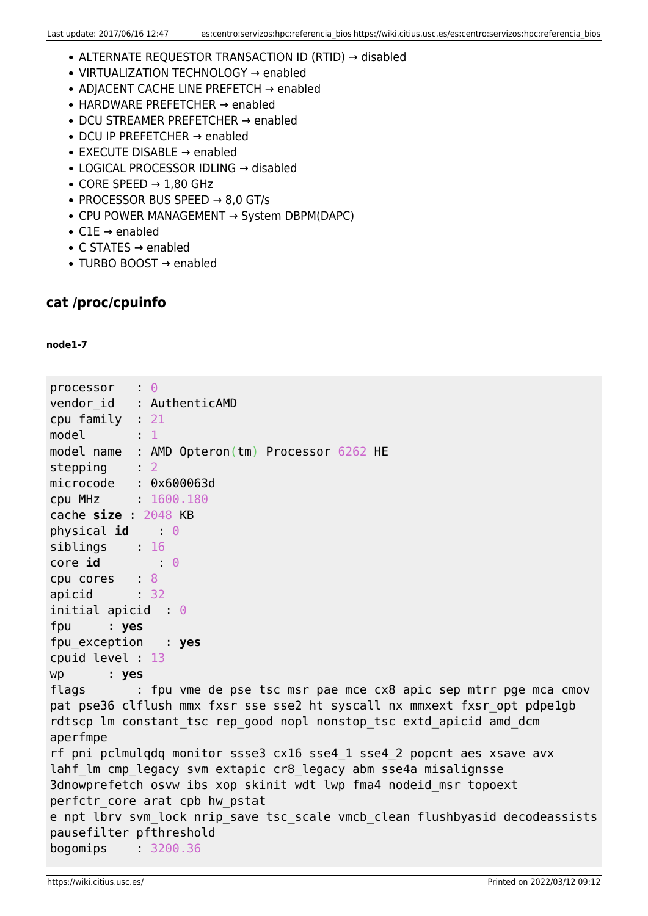- ALTERNATE REQUESTOR TRANSACTION ID (RTID) → disabled
- VIRTUALIZATION TECHNOLOGY → enabled
- ADJACENT CACHE LINE PREFETCH → enabled
- HARDWARE PREFETCHER → enabled
- DCU STREAMER PREFETCHER → enabled
- DCU IP PREFETCHER → enabled
- EXECUTE DISABLE → enabled
- LOGICAL PROCESSOR IDLING → disabled
- $\bullet$  CORE SPEED  $\rightarrow$  1,80 GHz
- $\bullet$  PROCESSOR BUS SPEED  $\rightarrow$  8,0 GT/s
- CPU POWER MANAGEMENT → System DBPM(DAPC)
- C1E → enabled
- C STATES → enabled
- TURBO BOOST → enabled

## **cat /proc/cpuinfo**

#### **node1-7**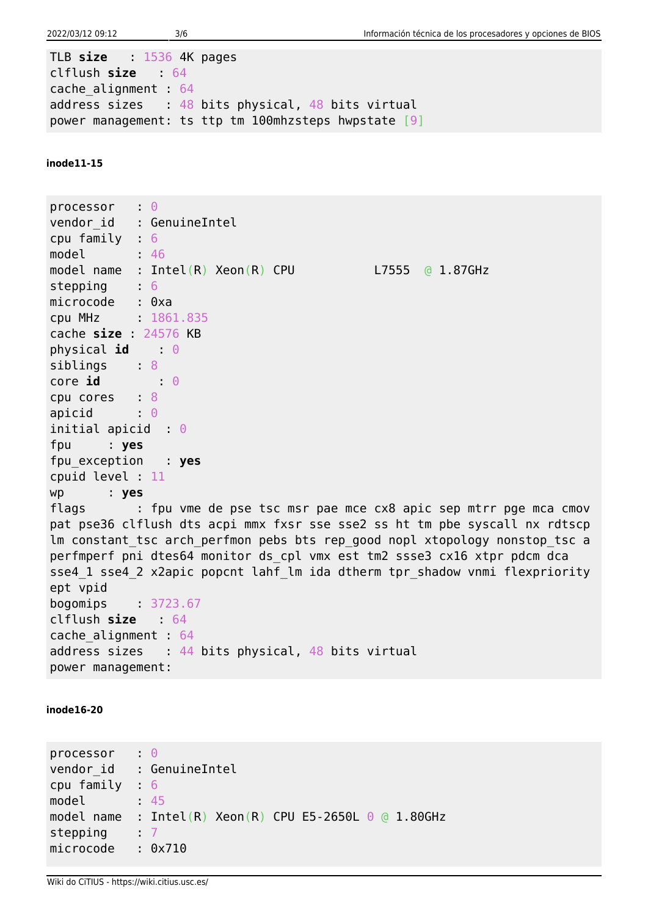TLB **size** : 1536 4K pages clflush **size** : 64 cache\_alignment : 64 address sizes  $: 48$  bits physical, 48 bits virtual power management: ts ttp tm 100mhzsteps hwpstate [9]

**inode11-15**

processor : 0 vendor id : GenuineIntel cpu family : 6 model : 46 model name : Intel(R)  $Xeon(R)$  CPU L7555 @ 1.87GHz stepping : 6 microcode : 0xa cpu MHz : 1861.835 cache **size** : 24576 KB physical **id** 0 siblings : 8 core **id** 0 cpu cores : 8 apicid :  $\theta$ initial apicid : 0 fpu : **yes** fpu\_exception : **yes** cpuid level : 11 wp : **yes** flags : fpu vme de pse tsc msr pae mce cx8 apic sep mtrr pge mca cmov pat pse36 clflush dts acpi mmx fxsr sse sse2 ss ht tm pbe syscall nx rdtscp lm constant tsc arch perfmon pebs bts rep good nopl xtopology nonstop tsc a perfmperf pni dtes64 monitor ds cpl vmx est tm2 ssse3 cx16 xtpr pdcm dca sse4 1 sse4 2 x2apic popcnt lahf lm ida dtherm tpr shadow vnmi flexpriority ept vpid bogomips : 3723.67 clflush **size** : 64 cache\_alignment : 64 address sizes : 44 bits physical, 48 bits virtual power management:

**inode16-20**

processor : 0 vendor id : GenuineIntel cpu family : 6 model : 45 model name : Intel(R)  $Xeon(R)$  CPU E5-2650L 0 @ 1.80GHz stepping 7 microcode : 0x710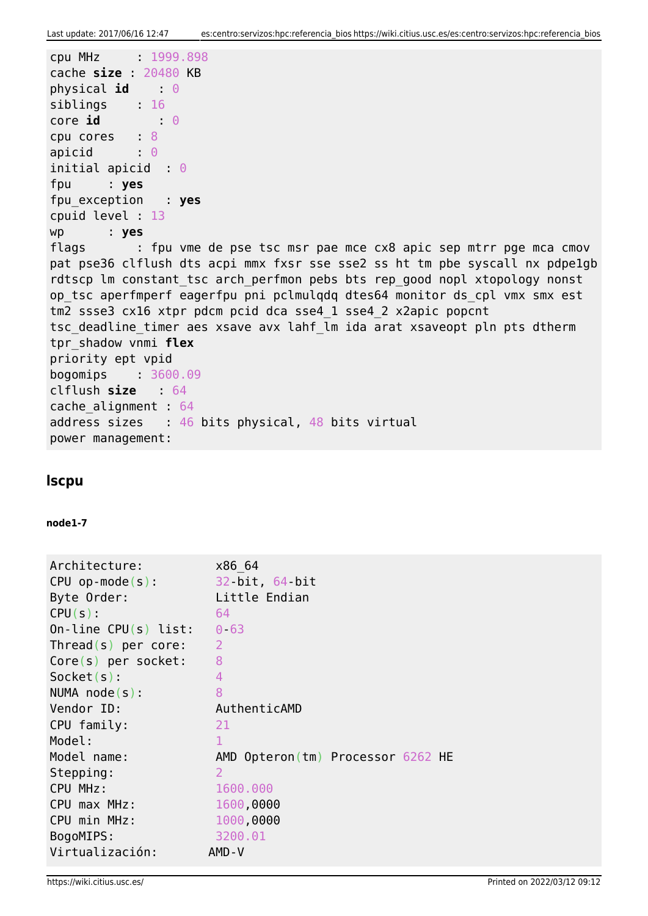```
cpu MHz : 1999.898
cache size : 20480 KB
physical id : 0
siblings : 16
core id 0
cpu cores : 8
apicid : 0
initial apicid : 0
fpu : yes
fpu_exception : yes
cpuid level : 13
wp : yes
flags : fpu vme de pse tsc msr pae mce cx8 apic sep mtrr pge mca cmov
pat pse36 clflush dts acpi mmx fxsr sse sse2 ss ht tm pbe syscall nx pdpe1gb
rdtscp lm constant tsc arch perfmon pebs bts rep good nopl xtopology nonst
op tsc aperfmperf eagerfpu pni pclmulgdg dtes64 monitor ds cpl vmx smx est
tm2 ssse3 cx16 xtpr pdcm pcid dca sse4_1 sse4_2 x2apic popcnt
tsc deadline timer aes xsave avx lahf lm ida arat xsaveopt pln pts dtherm
tpr_shadow vnmi flex
priority ept vpid
bogomips : 3600.09
clflush size : 64
cache_alignment : 64
address sizes : 46 bits physical, 48 bits virtual
power management:
```
### **lscpu**

#### **node1-7**

| Architecture:          | x86 64                            |
|------------------------|-----------------------------------|
| $CPU op-mode(s):$      | 32 bit, 64 bit                    |
| Byte Order:            | Little Endian                     |
| $CPU(s)$ :             | 64                                |
| On-line $CPU(s)$ list: | $0 - 63$                          |
| $Thread(s)$ per core:  | $\overline{2}$                    |
| $Core(s)$ per socket:  | 8                                 |
| $Socket(s)$ :          | 4                                 |
| $NUMA node(s)$ :       | 8                                 |
| Vendor ID:             | AuthenticAMD                      |
| CPU family:            | 21                                |
| Model:                 | $\mathbf{1}$                      |
| Model name:            | AMD Opteron(tm) Processor 6262 HE |
| Stepping:              | 2                                 |
| CPU MHz:               | 1600.000                          |
| CPU max MHz:           | 1600,0000                         |
| CPU min MHz:           | 1000,0000                         |
| BogoMIPS:              | 3200.01                           |
| Virtualización:        | AMD-V                             |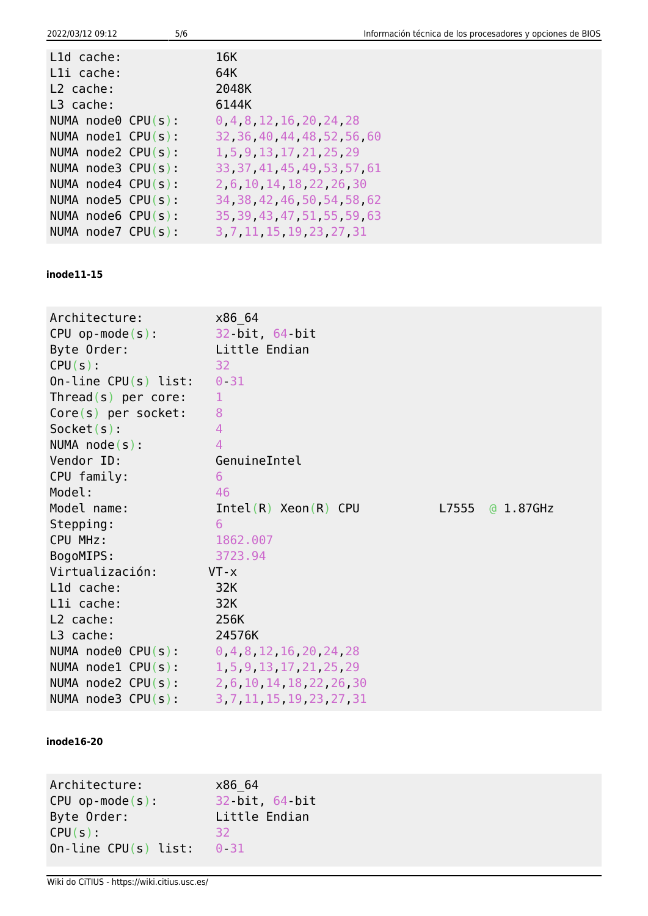| 2022/03/12 09:12 |  |  |
|------------------|--|--|
|                  |  |  |

| L1d cache:              | 16K   |                                |  |
|-------------------------|-------|--------------------------------|--|
| Lli cache:              | 64K   |                                |  |
| L <sub>2</sub> cache:   | 2048K |                                |  |
| $L3$ cache:             | 6144K |                                |  |
| NUMA $node0$ CPU(s):    |       | 0, 4, 8, 12, 16, 20, 24, 28    |  |
| NUMA $node1$ CPU(s):    |       | 32, 36, 40, 44, 48, 52, 56, 60 |  |
| NUMA $node2$ CPU(s):    |       | 1, 5, 9, 13, 17, 21, 25, 29    |  |
| NUMA $node3$ CPU(s):    |       | 33, 37, 41, 45, 49, 53, 57, 61 |  |
| NUMA $node4$ CPU(s):    |       | 2 6 10 14 18 22 26 30          |  |
| NUMA node5 $CPU(s)$ :   |       | 34, 38, 42, 46, 50, 54, 58, 62 |  |
| NUMA node6 $CPU(s)$ :   |       | 35, 39, 43, 47, 51, 55, 59, 63 |  |
| NUMA $node7$ $CPU(s)$ : |       | 3 7 11 15 19 23 27 31          |  |
|                         |       |                                |  |

#### **inode11-15**

| Architecture:                                    | x86 64                                          |                 |
|--------------------------------------------------|-------------------------------------------------|-----------------|
| $CPU op-mode(s):$                                | 32 bit, 64 bit                                  |                 |
| Byte Order:                                      | Little Endian                                   |                 |
| $CPU(s)$ :                                       | 32                                              |                 |
| On-line $CPU(s)$ list:                           | $0 - 31$                                        |                 |
| Thread(s) per core:                              | $\mathbf{1}$                                    |                 |
| $Core(s)$ per socket:                            | 8                                               |                 |
| $Socket(s)$ :                                    | $\overline{4}$                                  |                 |
| NUMA $node(s)$ :                                 | $\overline{4}$                                  |                 |
| Vendor ID:                                       | GenuineIntel                                    |                 |
| CPU family:                                      | 6                                               |                 |
| Model:                                           | 46                                              |                 |
| Model name:                                      | $Intel(R)$ Xeon $(R)$ CPU                       | L7555 @ 1.87GHz |
| Stepping:                                        | 6                                               |                 |
| CPU MHz:                                         | 1862.007                                        |                 |
| BogoMIPS:                                        | 3723.94                                         |                 |
| Virtualización:                                  | $VT - x$                                        |                 |
| L1d cache:                                       | 32K                                             |                 |
| Lli cache:                                       | 32K                                             |                 |
| L2 cache:                                        | 256K                                            |                 |
| L3 cache:                                        | 24576K                                          |                 |
| NUMA node0 $CPU(s):$ 0, 4, 8, 12, 16, 20, 24, 28 |                                                 |                 |
| NUMA node1 $CPU(s):$ 1, 5, 9, 13, 17, 21, 25, 29 |                                                 |                 |
|                                                  | NUMA node2 CPU(s): 2, 6, 10, 14, 18, 22, 26, 30 |                 |
| NUMA $node3$ $CPU(s)$ :                          | 3, 7, 11, 15, 19, 23, 27, 31                    |                 |

#### **inode16-20**

Architecture: x86\_64 CPU op-mode(s): 32-bit, 64-bit Byte Order: Little Endian  $CPU(s):$  32 On-line CPU(s) list:  $0-31$